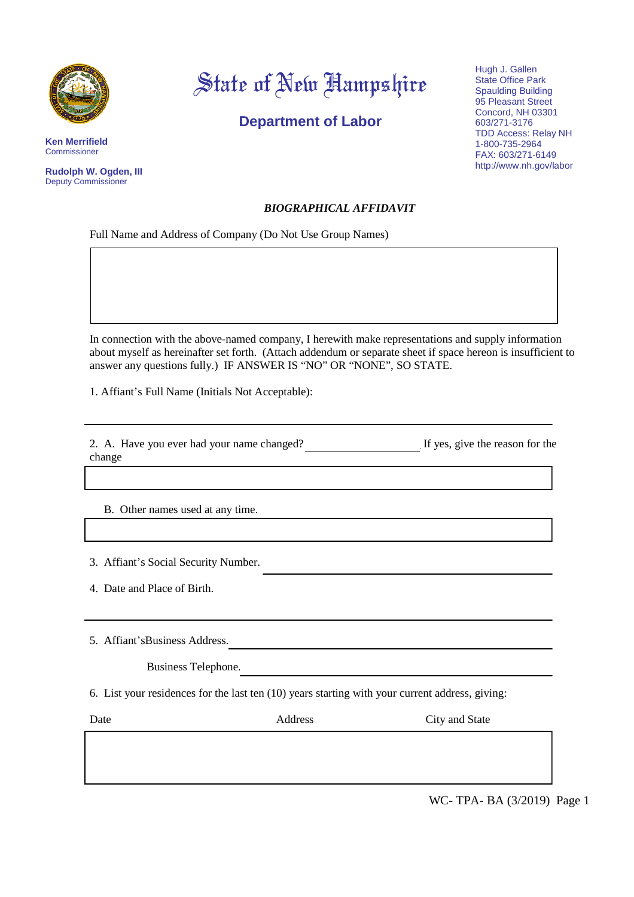

**Ken Merrifield** Commissioner

**Rudolph W. Ogden, III** Deputy Commissioner

## State of New Hampshire

**Department of Labor**

Hugh J. Gallen State Office Park Spaulding Building 95 Pleasant Street Concord, NH 03301 603/271-3176 TDD Access: Relay NH 1-800-735-2964 FAX: 603/271-6149 http://www.nh.gov/labor

## *BIOGRAPHICAL AFFIDAVIT*

Full Name and Address of Company (Do Not Use Group Names)

In connection with the above-named company, I herewith make representations and supply information about myself as hereinafter set forth. (Attach addendum or separate sheet if space hereon is insufficient to answer any questions fully.) IF ANSWER IS "NO" OR "NONE", SO STATE.

1. Affiant's Full Name (Initials Not Acceptable):

2. A. Have you ever had your name changed? If yes, give the reason for the change

 $\mathcal{L}_\text{max} = \frac{1}{2} \sum_{i=1}^n \mathcal{L}_\text{max}(\mathbf{x}_i - \mathbf{y}_i)$ 

 $\mathcal{L}_\mathcal{L} = \{ \mathcal{L}_\mathcal{L} = \{ \mathcal{L}_\mathcal{L} = \{ \mathcal{L}_\mathcal{L} = \{ \mathcal{L}_\mathcal{L} = \{ \mathcal{L}_\mathcal{L} = \{ \mathcal{L}_\mathcal{L} = \{ \mathcal{L}_\mathcal{L} = \{ \mathcal{L}_\mathcal{L} = \{ \mathcal{L}_\mathcal{L} = \{ \mathcal{L}_\mathcal{L} = \{ \mathcal{L}_\mathcal{L} = \{ \mathcal{L}_\mathcal{L} = \{ \mathcal{L}_\mathcal{L} = \{ \mathcal{L}_\mathcal{$ 

 $\mathcal{L}_\text{max} = \mathcal{L}_\text{max} = \mathcal{L}_\text{max} = \mathcal{L}_\text{max} = \mathcal{L}_\text{max} = \mathcal{L}_\text{max} = \mathcal{L}_\text{max} = \mathcal{L}_\text{max} = \mathcal{L}_\text{max} = \mathcal{L}_\text{max} = \mathcal{L}_\text{max} = \mathcal{L}_\text{max} = \mathcal{L}_\text{max} = \mathcal{L}_\text{max} = \mathcal{L}_\text{max} = \mathcal{L}_\text{max} = \mathcal{L}_\text{max} = \mathcal{L}_\text{max} = \mathcal{$ 

 $\mathcal{L}_\text{max} = \mathcal{L}_\text{max} = \mathcal{L}_\text{max} = \mathcal{L}_\text{max} = \mathcal{L}_\text{max} = \mathcal{L}_\text{max} = \mathcal{L}_\text{max} = \mathcal{L}_\text{max} = \mathcal{L}_\text{max} = \mathcal{L}_\text{max} = \mathcal{L}_\text{max} = \mathcal{L}_\text{max} = \mathcal{L}_\text{max} = \mathcal{L}_\text{max} = \mathcal{L}_\text{max} = \mathcal{L}_\text{max} = \mathcal{L}_\text{max} = \mathcal{L}_\text{max} = \mathcal{$ 

B. Other names used at any time.

3. Affiant's Social Security Number.

4. Date and Place of Birth.

5. Affiant'sBusiness Address.

Business Telephone.

6. List your residences for the last ten (10) years starting with your current address, giving:

Date **Address** City and State

WC- TPA- BA (3/2019) Page 1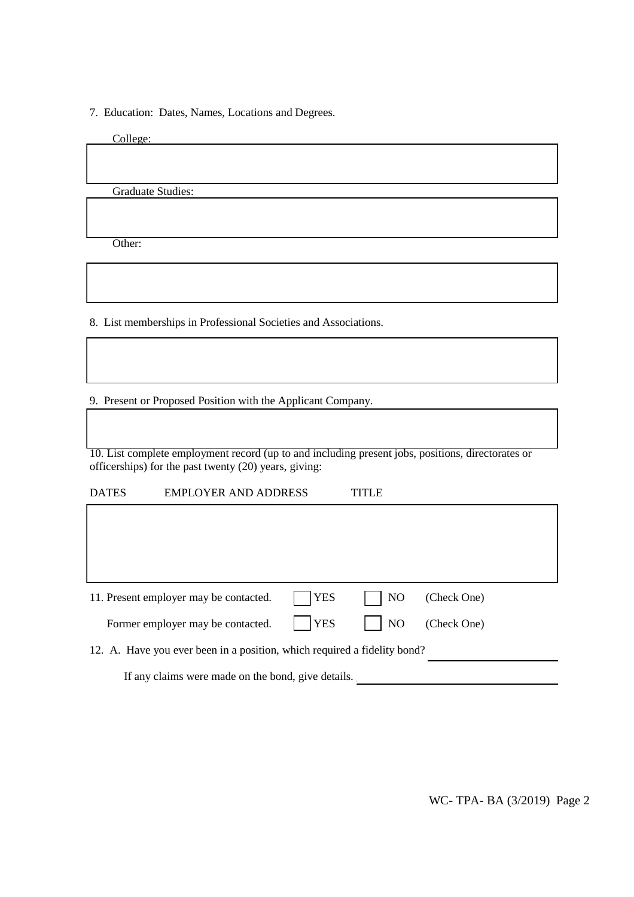7. Education: Dates, Names, Locations and Degrees.

College:

Graduate Studies:

Other:

8. List memberships in Professional Societies and Associations.

9. Present or Proposed Position with the Applicant Company.

10. List complete employment record (up to and including present jobs, positions, directorates or officerships) for the past twenty (20) years, giving:

DATES EMPLOYER AND ADDRESS TITLE

| 11. Present employer may be contacted.                                   | $ $   YES   | $\overline{\phantom{0}}$ NO | (Check One) |  |  |
|--------------------------------------------------------------------------|-------------|-----------------------------|-------------|--|--|
| Former employer may be contacted.                                        | $ $ $ $ YES | $\vert$ $\vert$ NO          | (Check One) |  |  |
| 12. A. Have you ever been in a position, which required a fidelity bond? |             |                             |             |  |  |
| If any claims were made on the bond, give details.                       |             |                             |             |  |  |

WC- TPA- BA (3/2019) Page 2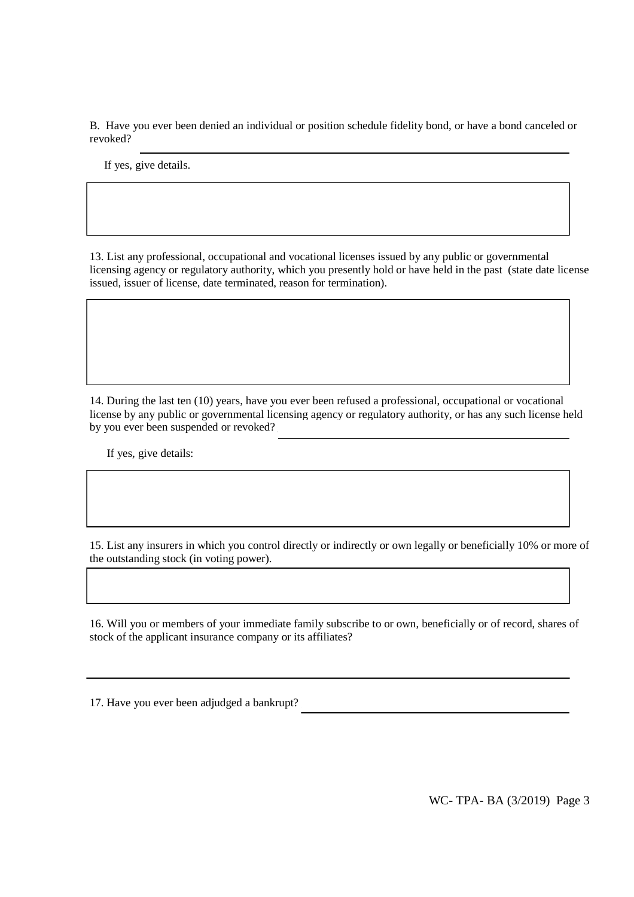B. Have you ever been denied an individual or position schedule fidelity bond, or have a bond canceled or revoked?

If yes, give details.

13. List any professional, occupational and vocational licenses issued by any public or governmental licensing agency or regulatory authority, which you presently hold or have held in the past (state date license issued, issuer of license, date terminated, reason for termination).

14. During the last ten (10) years, have you ever been refused a professional, occupational or vocational license by any public or governmental licensing agency or regulatory authority, or has any such license held by you ever been suspended or revoked?

If yes, give details:

15. List any insurers in which you control directly or indirectly or own legally or beneficially 10% or more of the outstanding stock (in voting power).

16. Will you or members of your immediate family subscribe to or own, beneficially or of record, shares of stock of the applicant insurance company or its affiliates?

17. Have you ever been adjudged a bankrupt?

WC- TPA- BA (3/2019) Page 3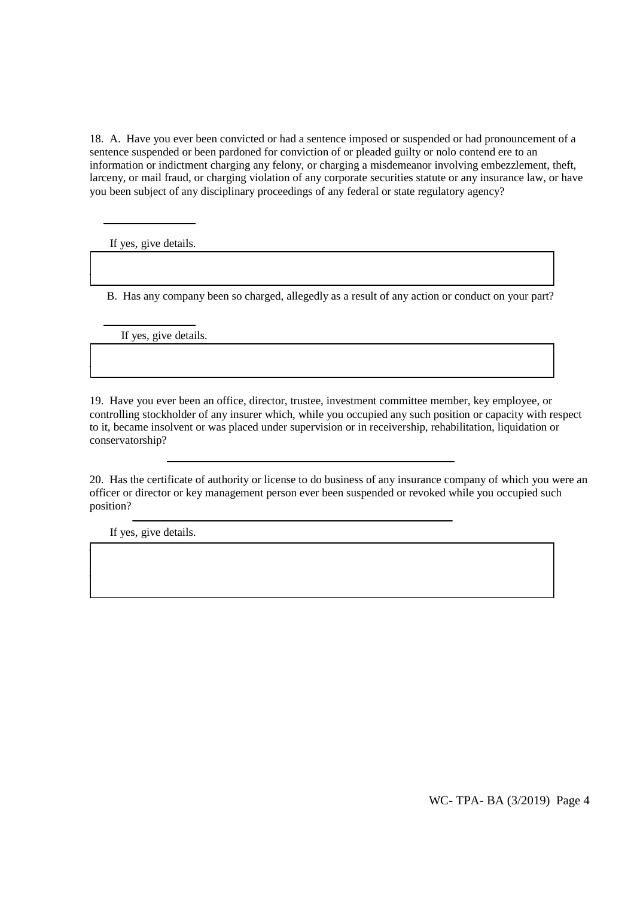18. A. Have you ever been convicted or had a sentence imposed or suspended or had pronouncement of a sentence suspended or been pardoned for conviction of or pleaded guilty or nolo contend ere to an information or indictment charging any felony, or charging a misdemeanor involving embezzlement, theft, larceny, or mail fraud, or charging violation of any corporate securities statute or any insurance law, or have you been subject of any disciplinary proceedings of any federal or state regulatory agency?

If yes, give details.

B. Has any company been so charged, allegedly as a result of any action or conduct on your part?

 $\Box$ 

 $\Box$ 

 $\overline{\mathcal{L}}$  , and the contribution of the contribution of the contribution of the contribution of the contribution of the contribution of the contribution of the contribution of the contribution of the contribution of the

 $\Box$ 

If yes, give details.

19. Have you ever been an office, director, trustee, investment committee member, key employee, or controlling stockholder of any insurer which, while you occupied any such position or capacity with respect to it, became insolvent or was placed under supervision or in receivership, rehabilitation, liquidation or conservatorship?

20. Has the certificate of authority or license to do business of any insurance company of which you were an officer or director or key management person ever been suspended or revoked while you occupied such position?

If yes, give details.